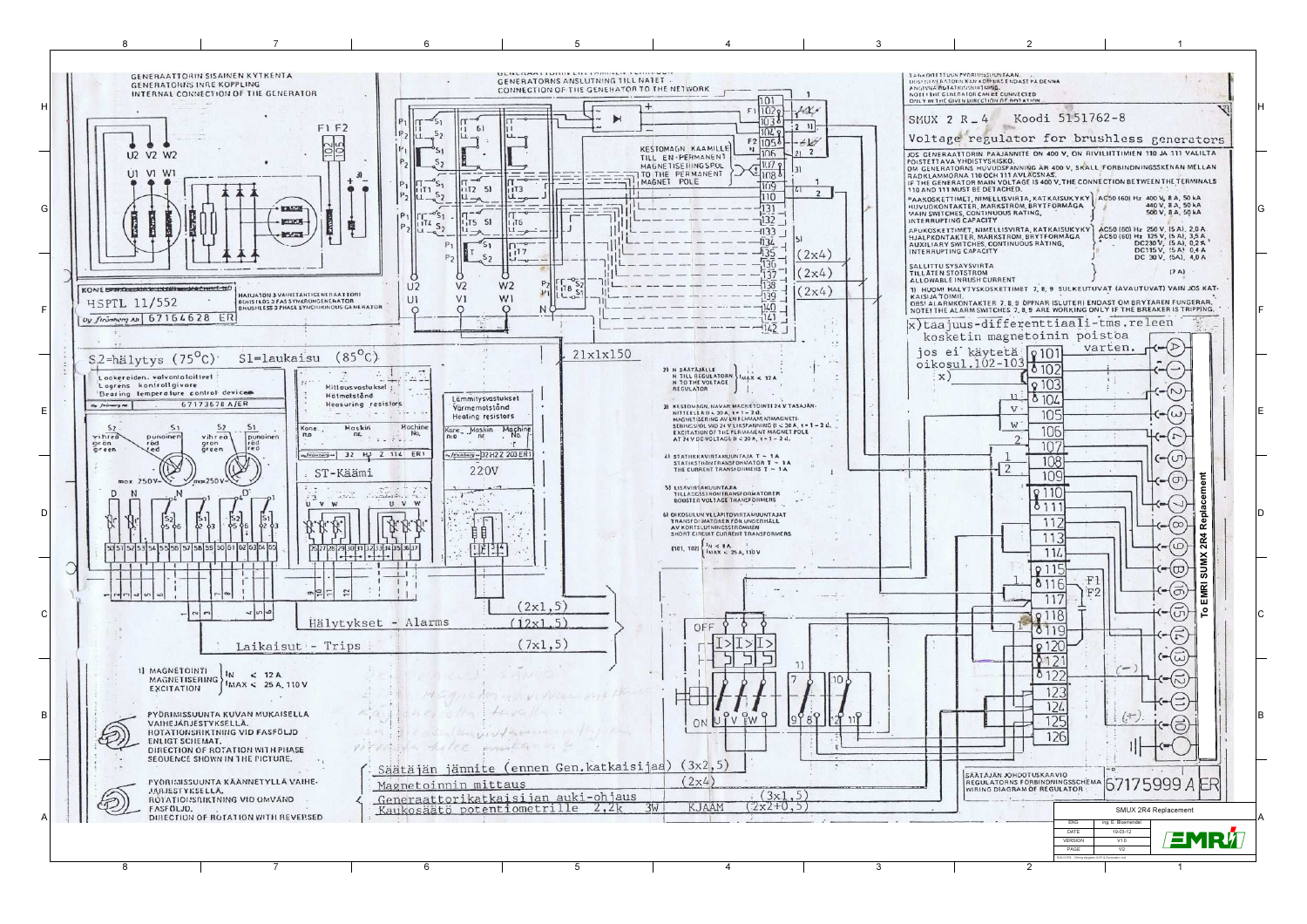